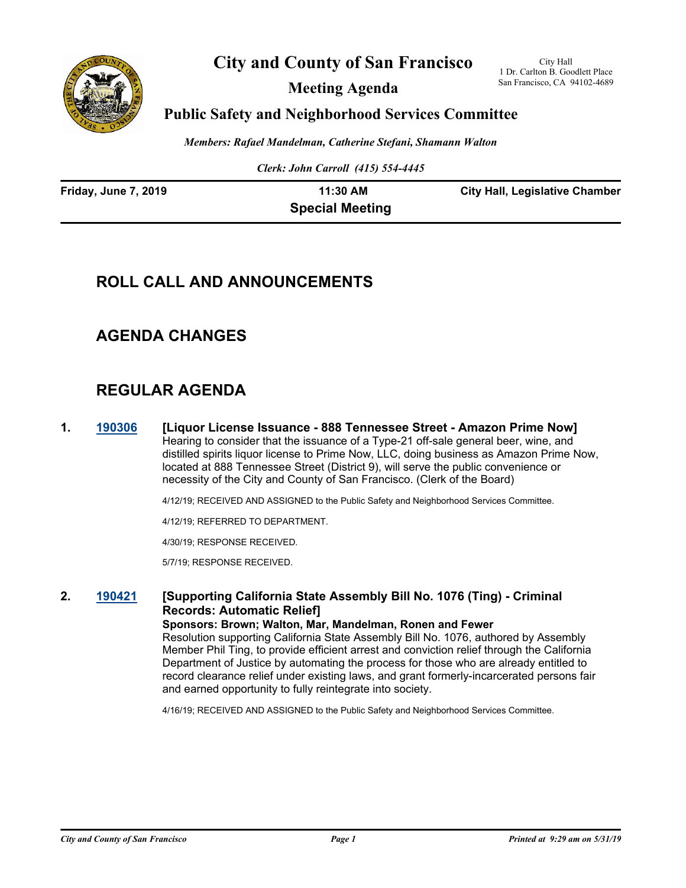

**City and County of San Francisco**

**Meeting Agenda**

City Hall 1 Dr. Carlton B. Goodlett Place San Francisco, CA 94102-4689

### **Public Safety and Neighborhood Services Committee**

*Members: Rafael Mandelman, Catherine Stefani, Shamann Walton*

*Clerk: John Carroll (415) 554-4445*

| <b>Friday, June 7, 2019</b> | 11:30 AM               | <b>City Hall, Legislative Chamber</b> |
|-----------------------------|------------------------|---------------------------------------|
|                             | <b>Special Meeting</b> |                                       |

# **ROLL CALL AND ANNOUNCEMENTS**

# **AGENDA CHANGES**

# **REGULAR AGENDA**

**1. [190306](http://sfgov.legistar.com/gateway.aspx?m=l&id=34427) [Liquor License Issuance - 888 Tennessee Street - Amazon Prime Now]** Hearing to consider that the issuance of a Type-21 off-sale general beer, wine, and distilled spirits liquor license to Prime Now, LLC, doing business as Amazon Prime Now, located at 888 Tennessee Street (District 9), will serve the public convenience or necessity of the City and County of San Francisco. (Clerk of the Board)

4/12/19; RECEIVED AND ASSIGNED to the Public Safety and Neighborhood Services Committee.

4/12/19; REFERRED TO DEPARTMENT.

4/30/19; RESPONSE RECEIVED.

5/7/19; RESPONSE RECEIVED.

#### **2. [190421](http://sfgov.legistar.com/gateway.aspx?m=l&id=34542) [Supporting California State Assembly Bill No. 1076 (Ting) - Criminal Records: Automatic Relief] Sponsors: Brown; Walton, Mar, Mandelman, Ronen and Fewer**

Resolution supporting California State Assembly Bill No. 1076, authored by Assembly Member Phil Ting, to provide efficient arrest and conviction relief through the California Department of Justice by automating the process for those who are already entitled to record clearance relief under existing laws, and grant formerly-incarcerated persons fair and earned opportunity to fully reintegrate into society.

4/16/19; RECEIVED AND ASSIGNED to the Public Safety and Neighborhood Services Committee.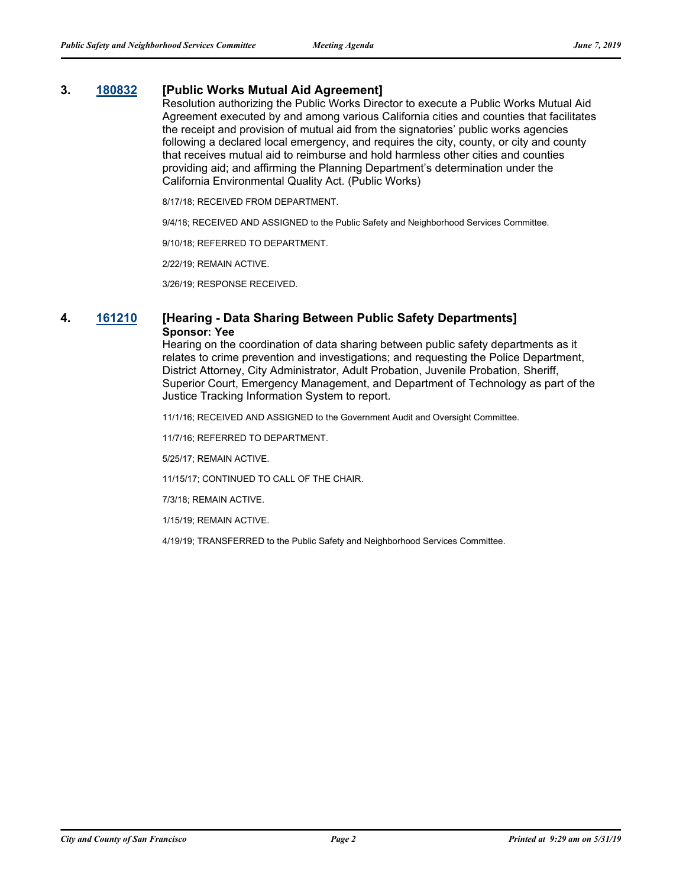### **3. [180832](http://sfgov.legistar.com/gateway.aspx?m=l&id=33701) [Public Works Mutual Aid Agreement]**

Resolution authorizing the Public Works Director to execute a Public Works Mutual Aid Agreement executed by and among various California cities and counties that facilitates the receipt and provision of mutual aid from the signatories' public works agencies following a declared local emergency, and requires the city, county, or city and county that receives mutual aid to reimburse and hold harmless other cities and counties providing aid; and affirming the Planning Department's determination under the California Environmental Quality Act. (Public Works)

8/17/18; RECEIVED FROM DEPARTMENT.

9/4/18; RECEIVED AND ASSIGNED to the Public Safety and Neighborhood Services Committee.

9/10/18; REFERRED TO DEPARTMENT.

2/22/19; REMAIN ACTIVE.

3/26/19; RESPONSE RECEIVED.

### **4. [161210](http://sfgov.legistar.com/gateway.aspx?m=l&id=31415) [Hearing - Data Sharing Between Public Safety Departments] Sponsor: Yee**

Hearing on the coordination of data sharing between public safety departments as it relates to crime prevention and investigations; and requesting the Police Department, District Attorney, City Administrator, Adult Probation, Juvenile Probation, Sheriff, Superior Court, Emergency Management, and Department of Technology as part of the Justice Tracking Information System to report.

11/1/16; RECEIVED AND ASSIGNED to the Government Audit and Oversight Committee.

11/7/16; REFERRED TO DEPARTMENT.

5/25/17; REMAIN ACTIVE.

11/15/17; CONTINUED TO CALL OF THE CHAIR.

7/3/18; REMAIN ACTIVE.

1/15/19; REMAIN ACTIVE.

4/19/19; TRANSFERRED to the Public Safety and Neighborhood Services Committee.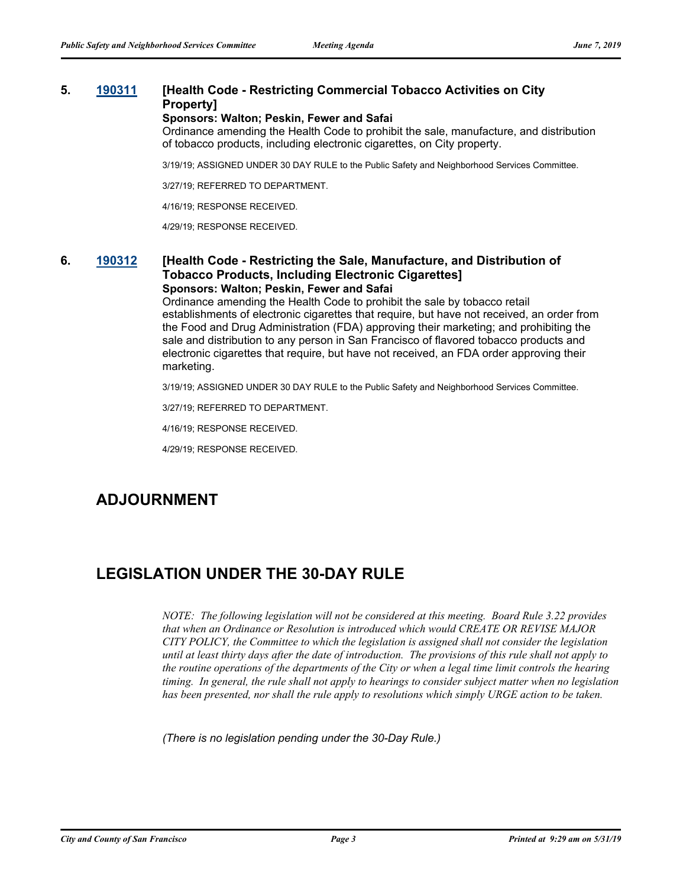### **5. [190311](http://sfgov.legistar.com/gateway.aspx?m=l&id=34432) [Health Code - Restricting Commercial Tobacco Activities on City Property]**

#### **Sponsors: Walton; Peskin, Fewer and Safai**

Ordinance amending the Health Code to prohibit the sale, manufacture, and distribution of tobacco products, including electronic cigarettes, on City property.

3/19/19; ASSIGNED UNDER 30 DAY RULE to the Public Safety and Neighborhood Services Committee.

3/27/19; REFERRED TO DEPARTMENT.

4/16/19; RESPONSE RECEIVED.

4/29/19; RESPONSE RECEIVED.

#### **6. [190312](http://sfgov.legistar.com/gateway.aspx?m=l&id=34433) [Health Code - Restricting the Sale, Manufacture, and Distribution of Tobacco Products, Including Electronic Cigarettes] Sponsors: Walton; Peskin, Fewer and Safai**

Ordinance amending the Health Code to prohibit the sale by tobacco retail establishments of electronic cigarettes that require, but have not received, an order from the Food and Drug Administration (FDA) approving their marketing; and prohibiting the sale and distribution to any person in San Francisco of flavored tobacco products and electronic cigarettes that require, but have not received, an FDA order approving their marketing.

3/19/19; ASSIGNED UNDER 30 DAY RULE to the Public Safety and Neighborhood Services Committee.

3/27/19; REFERRED TO DEPARTMENT.

4/16/19; RESPONSE RECEIVED.

4/29/19; RESPONSE RECEIVED.

# **ADJOURNMENT**

## **LEGISLATION UNDER THE 30-DAY RULE**

*NOTE: The following legislation will not be considered at this meeting. Board Rule 3.22 provides that when an Ordinance or Resolution is introduced which would CREATE OR REVISE MAJOR CITY POLICY, the Committee to which the legislation is assigned shall not consider the legislation until at least thirty days after the date of introduction. The provisions of this rule shall not apply to the routine operations of the departments of the City or when a legal time limit controls the hearing timing. In general, the rule shall not apply to hearings to consider subject matter when no legislation has been presented, nor shall the rule apply to resolutions which simply URGE action to be taken.*

*(There is no legislation pending under the 30-Day Rule.)*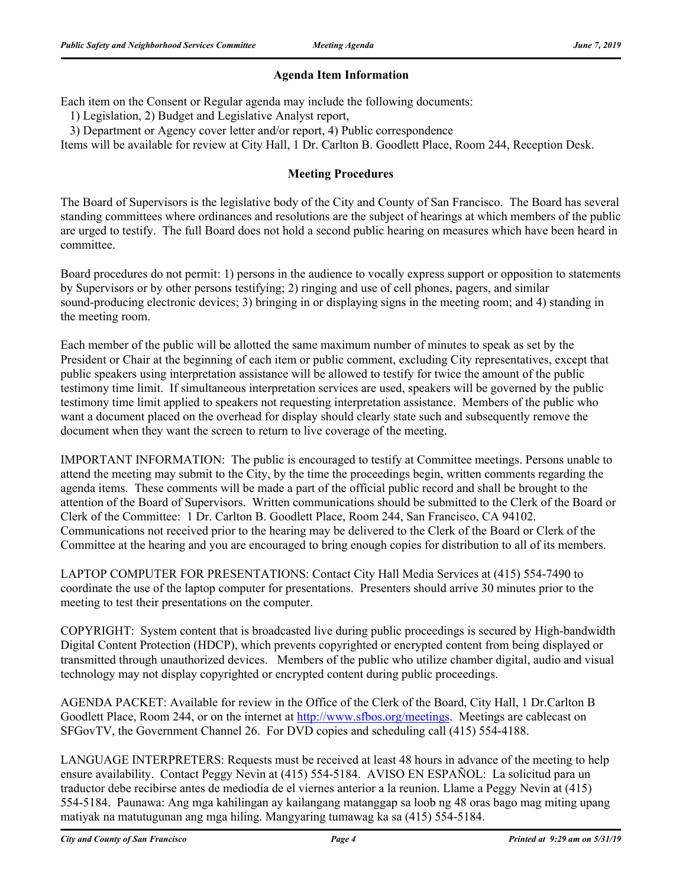### **Agenda Item Information**

Each item on the Consent or Regular agenda may include the following documents:

1) Legislation, 2) Budget and Legislative Analyst report,

3) Department or Agency cover letter and/or report, 4) Public correspondence

Items will be available for review at City Hall, 1 Dr. Carlton B. Goodlett Place, Room 244, Reception Desk.

### **Meeting Procedures**

The Board of Supervisors is the legislative body of the City and County of San Francisco. The Board has several standing committees where ordinances and resolutions are the subject of hearings at which members of the public are urged to testify. The full Board does not hold a second public hearing on measures which have been heard in committee.

Board procedures do not permit: 1) persons in the audience to vocally express support or opposition to statements by Supervisors or by other persons testifying; 2) ringing and use of cell phones, pagers, and similar sound-producing electronic devices; 3) bringing in or displaying signs in the meeting room; and 4) standing in the meeting room.

Each member of the public will be allotted the same maximum number of minutes to speak as set by the President or Chair at the beginning of each item or public comment, excluding City representatives, except that public speakers using interpretation assistance will be allowed to testify for twice the amount of the public testimony time limit. If simultaneous interpretation services are used, speakers will be governed by the public testimony time limit applied to speakers not requesting interpretation assistance. Members of the public who want a document placed on the overhead for display should clearly state such and subsequently remove the document when they want the screen to return to live coverage of the meeting.

IMPORTANT INFORMATION: The public is encouraged to testify at Committee meetings. Persons unable to attend the meeting may submit to the City, by the time the proceedings begin, written comments regarding the agenda items. These comments will be made a part of the official public record and shall be brought to the attention of the Board of Supervisors. Written communications should be submitted to the Clerk of the Board or Clerk of the Committee: 1 Dr. Carlton B. Goodlett Place, Room 244, San Francisco, CA 94102. Communications not received prior to the hearing may be delivered to the Clerk of the Board or Clerk of the Committee at the hearing and you are encouraged to bring enough copies for distribution to all of its members.

LAPTOP COMPUTER FOR PRESENTATIONS: Contact City Hall Media Services at (415) 554-7490 to coordinate the use of the laptop computer for presentations. Presenters should arrive 30 minutes prior to the meeting to test their presentations on the computer.

COPYRIGHT: System content that is broadcasted live during public proceedings is secured by High-bandwidth Digital Content Protection (HDCP), which prevents copyrighted or encrypted content from being displayed or transmitted through unauthorized devices. Members of the public who utilize chamber digital, audio and visual technology may not display copyrighted or encrypted content during public proceedings.

AGENDA PACKET: Available for review in the Office of the Clerk of the Board, City Hall, 1 Dr.Carlton B Goodlett Place, Room 244, or on the internet at http://www.sfbos.org/meetings. Meetings are cablecast on SFGovTV, the Government Channel 26. For DVD copies and scheduling call (415) 554-4188.

LANGUAGE INTERPRETERS: Requests must be received at least 48 hours in advance of the meeting to help ensure availability. Contact Peggy Nevin at (415) 554-5184. AVISO EN ESPAÑOL: La solicitud para un traductor debe recibirse antes de mediodía de el viernes anterior a la reunion. Llame a Peggy Nevin at (415) 554-5184. Paunawa: Ang mga kahilingan ay kailangang matanggap sa loob ng 48 oras bago mag miting upang matiyak na matutugunan ang mga hiling. Mangyaring tumawag ka sa (415) 554-5184.